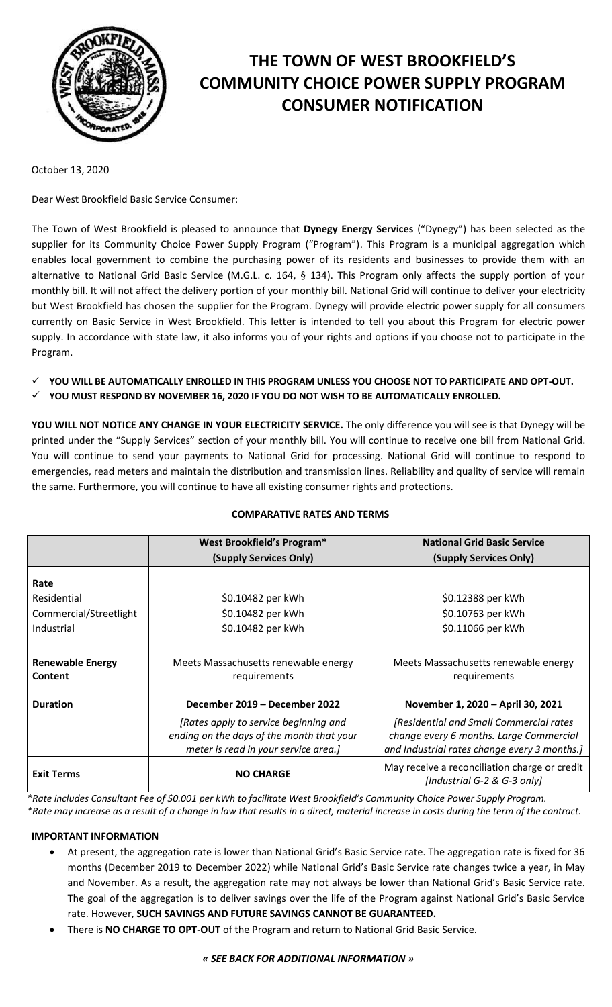

# **THE TOWN OF WEST BROOKFIELD'S COMMUNITY CHOICE POWER SUPPLY PROGRAM CONSUMER NOTIFICATION**

October 13, 2020

Dear West Brookfield Basic Service Consumer:

The Town of West Brookfield is pleased to announce that **Dynegy Energy Services** ("Dynegy") has been selected as the supplier for its Community Choice Power Supply Program ("Program"). This Program is a municipal aggregation which enables local government to combine the purchasing power of its residents and businesses to provide them with an alternative to National Grid Basic Service (M.G.L. c. 164, § 134). This Program only affects the supply portion of your monthly bill. It will not affect the delivery portion of your monthly bill. National Grid will continue to deliver your electricity but West Brookfield has chosen the supplier for the Program. Dynegy will provide electric power supply for all consumers currently on Basic Service in West Brookfield. This letter is intended to tell you about this Program for electric power supply. In accordance with state law, it also informs you of your rights and options if you choose not to participate in the Program.

- **YOU WILL BE AUTOMATICALLY ENROLLED IN THIS PROGRAM UNLESS YOU CHOOSE NOT TO PARTICIPATE AND OPT-OUT.**
- **YOU MUST RESPOND BY NOVEMBER 16, 2020 IF YOU DO NOT WISH TO BE AUTOMATICALLY ENROLLED.**

**YOU WILL NOT NOTICE ANY CHANGE IN YOUR ELECTRICITY SERVICE.** The only difference you will see is that Dynegy will be printed under the "Supply Services" section of your monthly bill. You will continue to receive one bill from National Grid. You will continue to send your payments to National Grid for processing. National Grid will continue to respond to emergencies, read meters and maintain the distribution and transmission lines. Reliability and quality of service will remain the same. Furthermore, you will continue to have all existing consumer rights and protections.

|                                           | West Brookfield's Program*                                                                                                 | <b>National Grid Basic Service</b>                                                                                                 |
|-------------------------------------------|----------------------------------------------------------------------------------------------------------------------------|------------------------------------------------------------------------------------------------------------------------------------|
|                                           | (Supply Services Only)                                                                                                     | (Supply Services Only)                                                                                                             |
| Rate                                      |                                                                                                                            |                                                                                                                                    |
| Residential                               | \$0.10482 per kWh                                                                                                          | \$0.12388 per kWh                                                                                                                  |
| Commercial/Streetlight                    | \$0.10482 per kWh                                                                                                          | \$0.10763 per kWh                                                                                                                  |
| Industrial                                | \$0.10482 per kWh                                                                                                          | \$0.11066 per kWh                                                                                                                  |
|                                           |                                                                                                                            |                                                                                                                                    |
| <b>Renewable Energy</b><br><b>Content</b> | Meets Massachusetts renewable energy<br>requirements                                                                       | Meets Massachusetts renewable energy<br>requirements                                                                               |
| <b>Duration</b>                           | December 2019 – December 2022                                                                                              | November 1, 2020 - April 30, 2021                                                                                                  |
|                                           | [Rates apply to service beginning and<br>ending on the days of the month that your<br>meter is read in your service area.] | [Residential and Small Commercial rates<br>change every 6 months. Large Commercial<br>and Industrial rates change every 3 months.] |
| <b>Exit Terms</b>                         | <b>NO CHARGE</b>                                                                                                           | May receive a reconciliation charge or credit<br>[Industrial G-2 & G-3 only]                                                       |

# **COMPARATIVE RATES AND TERMS**

*\*Rate includes Consultant Fee of \$0.001 per kWh to facilitate West Brookfield's Community Choice Power Supply Program. \*Rate may increase as a result of a change in law that results in a direct, material increase in costs during the term of the contract.*

# **IMPORTANT INFORMATION**

- At present, the aggregation rate is lower than National Grid's Basic Service rate. The aggregation rate is fixed for 36 months (December 2019 to December 2022) while National Grid's Basic Service rate changes twice a year, in May and November. As a result, the aggregation rate may not always be lower than National Grid's Basic Service rate. The goal of the aggregation is to deliver savings over the life of the Program against National Grid's Basic Service rate. However, **SUCH SAVINGS AND FUTURE SAVINGS CANNOT BE GUARANTEED.**
- There is **NO CHARGE TO OPT-OUT** of the Program and return to National Grid Basic Service.